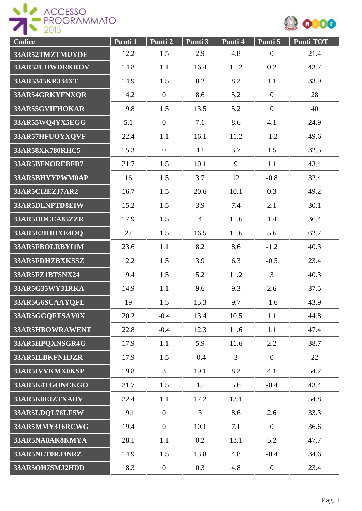



| Codice          | Punti 1 | Punti 2          | Punti 3        | Punti 4        | Punti 5          | <b>Punti TOT</b> |
|-----------------|---------|------------------|----------------|----------------|------------------|------------------|
| 33AR52TMZTMUYDE | 12.2    | 1.5              | 2.9            | 4.8            | $\boldsymbol{0}$ | 21.4             |
| 33AR52UHWDRKROV | 14.8    | 1.1              | 16.4           | 11.2           | 0.2              | 43.7             |
| 33AR5345KR334XT | 14.9    | 1.5              | 8.2            | 8.2            | 1.1              | 33.9             |
| 33AR54GRKYFNXQR | 14.2    | $\overline{0}$   | 8.6            | 5.2            | $\boldsymbol{0}$ | 28               |
| 33AR55GVIFHOKAR | 19.8    | 1.5              | 13.5           | 5.2            | $\overline{0}$   | 40               |
| 33AR55WQ4YX5EGG | 5.1     | $\boldsymbol{0}$ | 7.1            | 8.6            | 4.1              | 24.9             |
| 33AR57HFUOYXQVF | 22.4    | 1.1              | 16.1           | 11.2           | $-1.2$           | 49.6             |
| 33AR58XK780RHC5 | 15.3    | $\overline{0}$   | 12             | 3.7            | 1.5              | 32.5             |
| 33AR5BFNOREBFB7 | 21.7    | 1.5              | 10.1           | 9              | 1.1              | 43.4             |
| 33AR5BHYYPWM0AP | 16      | 1.5              | 3.7            | 12             | $-0.8$           | 32.4             |
| 33AR5CI2EZJ7AR2 | 16.7    | 1.5              | 20.6           | 10.1           | 0.3              | 49.2             |
| 33AR5DLNPTD8EIW | 15.2    | 1.5              | 3.9            | 7.4            | 2.1              | 30.1             |
| 33AR5DOCEA85ZZR | 17.9    | 1.5              | $\overline{4}$ | 11.6           | 1.4              | 36.4             |
| 33AR5E2IHHXE4OQ | 27      | 1.5              | 16.5           | 11.6           | 5.6              | 62.2             |
| 33AR5FBOLRBYI1M | 23.6    | 1.1              | 8.2            | 8.6            | $-1.2$           | 40.3             |
| 33AR5FDHZBXKSSZ | 12.2    | 1.5              | 3.9            | 6.3            | $-0.5$           | 23.4             |
| 33AR5FZ1BTSNX24 | 19.4    | 1.5              | 5.2            | 11.2           | 3                | 40.3             |
| 33AR5G35WY31RKA | 14.9    | 1.1              | 9.6            | 9.3            | 2.6              | 37.5             |
| 33AR5G6SCAAYQFL | 19      | 1.5              | 15.3           | 9.7            | $-1.6$           | 43.9             |
| 33AR5GGQFTSAV0X | 20.2    | $-0.4$           | 13.4           | 10.5           | 1.1              | 44.8             |
| 33AR5HBOWRAWENT | 22.8    | $-0.4$           | 12.3           | 11.6           | 1.1              | 47.4             |
| 33AR5HPQXNSGR4G | 17.9    | 1.1              | 5.9            | 11.6           | 2.2              | 38.7             |
| 33AR5ILBKFNHJZR | 17.9    | 1.5              | $-0.4$         | $\overline{3}$ | $\overline{0}$   | 22               |
| 33AR5IVVKMX0KSP | 19.8    | 3                | 19.1           | 8.2            | 4.1              | 54.2             |
| 33AR5K4TGONCKGO | 21.7    | 1.5              | 15             | 5.6            | $-0.4$           | 43.4             |
| 33AR5K8EIZTXADV | 22.4    | 1.1              | 17.2           | 13.1           | $\mathbf{1}$     | 54.8             |
| 33AR5LDQL76LFSW | 19.1    | $\theta$         | $\overline{3}$ | 8.6            | 2.6              | 33.3             |
| 33AR5MMY316RCWG | 19.4    | $\boldsymbol{0}$ | 10.1           | 7.1            | $\boldsymbol{0}$ | 36.6             |
| 33AR5NA8AK8KMYA | 28.1    | 1.1              | 0.2            | 13.1           | 5.2              | 47.7             |
| 33AR5NLT0RJ3NRZ | 14.9    | 1.5              | 13.8           | 4.8            | $-0.4$           | 34.6             |
| 33AR5OH7SMJ2HDD | 18.3    | $\boldsymbol{0}$ | 0.3            | 4.8            | $\boldsymbol{0}$ | 23.4             |